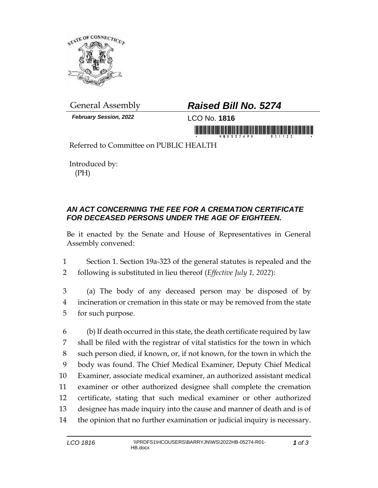

*February Session, 2022* LCO No. **1816**

## General Assembly *Raised Bill No. 5274*

in morning first him in monitoring in morning

Referred to Committee on PUBLIC HEALTH

Introduced by: (PH)

## *AN ACT CONCERNING THE FEE FOR A CREMATION CERTIFICATE FOR DECEASED PERSONS UNDER THE AGE OF EIGHTEEN.*

Be it enacted by the Senate and House of Representatives in General Assembly convened:

1 Section 1. Section 19a-323 of the general statutes is repealed and the 2 following is substituted in lieu thereof (*Effective July 1, 2022*):

3 (a) The body of any deceased person may be disposed of by 4 incineration or cremation in this state or may be removed from the state 5 for such purpose.

 (b) If death occurred in this state, the death certificate required by law shall be filed with the registrar of vital statistics for the town in which such person died, if known, or, if not known, for the town in which the body was found. The Chief Medical Examiner, Deputy Chief Medical Examiner, associate medical examiner, an authorized assistant medical examiner or other authorized designee shall complete the cremation certificate, stating that such medical examiner or other authorized designee has made inquiry into the cause and manner of death and is of the opinion that no further examination or judicial inquiry is necessary.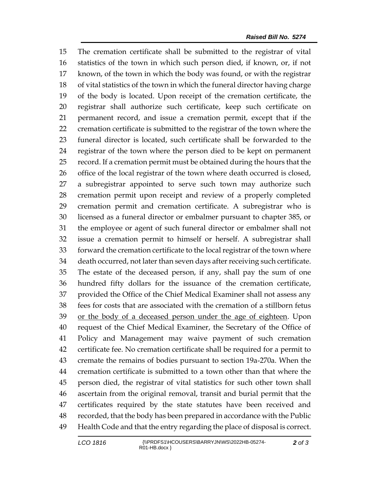The cremation certificate shall be submitted to the registrar of vital statistics of the town in which such person died, if known, or, if not known, of the town in which the body was found, or with the registrar of vital statistics of the town in which the funeral director having charge of the body is located. Upon receipt of the cremation certificate, the registrar shall authorize such certificate, keep such certificate on permanent record, and issue a cremation permit, except that if the cremation certificate is submitted to the registrar of the town where the funeral director is located, such certificate shall be forwarded to the registrar of the town where the person died to be kept on permanent record. If a cremation permit must be obtained during the hours that the office of the local registrar of the town where death occurred is closed, a subregistrar appointed to serve such town may authorize such cremation permit upon receipt and review of a properly completed cremation permit and cremation certificate. A subregistrar who is licensed as a funeral director or embalmer pursuant to chapter 385, or the employee or agent of such funeral director or embalmer shall not issue a cremation permit to himself or herself. A subregistrar shall forward the cremation certificate to the local registrar of the town where death occurred, not later than seven days after receiving such certificate. The estate of the deceased person, if any, shall pay the sum of one hundred fifty dollars for the issuance of the cremation certificate, provided the Office of the Chief Medical Examiner shall not assess any fees for costs that are associated with the cremation of a stillborn fetus or the body of a deceased person under the age of eighteen. Upon request of the Chief Medical Examiner, the Secretary of the Office of Policy and Management may waive payment of such cremation certificate fee. No cremation certificate shall be required for a permit to cremate the remains of bodies pursuant to section 19a-270a. When the cremation certificate is submitted to a town other than that where the person died, the registrar of vital statistics for such other town shall ascertain from the original removal, transit and burial permit that the certificates required by the state statutes have been received and recorded, that the body has been prepared in accordance with the Public Health Code and that the entry regarding the place of disposal is correct.